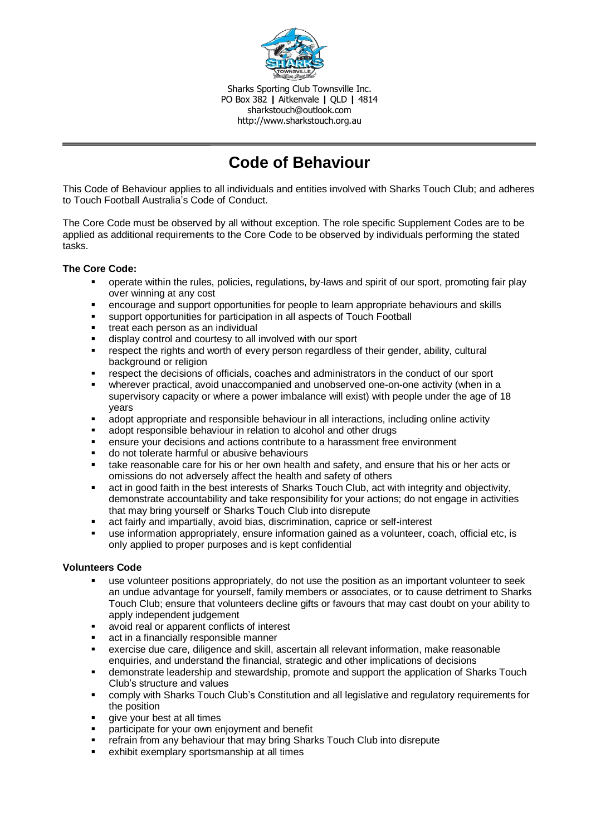

Sharks Sporting Club Townsville Inc. PO Box 382 **|** Aitkenvale **|** QLD **|** 4814 sharkstouch@outlook.com http://www.sharkstouch.org.au

# **Code of Behaviour**

This Code of Behaviour applies to all individuals and entities involved with Sharks Touch Club; and adheres to Touch Football Australia's Code of Conduct.

The Core Code must be observed by all without exception. The role specific Supplement Codes are to be applied as additional requirements to the Core Code to be observed by individuals performing the stated tasks.

# **The Core Code:**

- operate within the rules, policies, regulations, by-laws and spirit of our sport, promoting fair play over winning at any cost
- encourage and support opportunities for people to learn appropriate behaviours and skills
- support opportunities for participation in all aspects of Touch Football
- treat each person as an individual
- display control and courtesy to all involved with our sport
- respect the rights and worth of every person regardless of their gender, ability, cultural background or religion
- respect the decisions of officials, coaches and administrators in the conduct of our sport
- wherever practical, avoid unaccompanied and unobserved one-on-one activity (when in a supervisory capacity or where a power imbalance will exist) with people under the age of 18 years
- adopt appropriate and responsible behaviour in all interactions, including online activity
- adopt responsible behaviour in relation to alcohol and other drugs
- ensure your decisions and actions contribute to a harassment free environment
- do not tolerate harmful or abusive behaviours
- take reasonable care for his or her own health and safety, and ensure that his or her acts or omissions do not adversely affect the health and safety of others
- act in good faith in the best interests of Sharks Touch Club, act with integrity and objectivity, demonstrate accountability and take responsibility for your actions; do not engage in activities that may bring yourself or Sharks Touch Club into disrepute
- act fairly and impartially, avoid bias, discrimination, caprice or self-interest
- use information appropriately, ensure information gained as a volunteer, coach, official etc, is only applied to proper purposes and is kept confidential

# **Volunteers Code**

- use volunteer positions appropriately, do not use the position as an important volunteer to seek an undue advantage for yourself, family members or associates, or to cause detriment to Sharks Touch Club; ensure that volunteers decline gifts or favours that may cast doubt on your ability to apply independent judgement
- avoid real or apparent conflicts of interest
- act in a financially responsible manner
- exercise due care, diligence and skill, ascertain all relevant information, make reasonable enquiries, and understand the financial, strategic and other implications of decisions
- demonstrate leadership and stewardship, promote and support the application of Sharks Touch Club's structure and values
- comply with Sharks Touch Club's Constitution and all legislative and regulatory requirements for the position
- give your best at all times
- participate for your own enjoyment and benefit
- refrain from any behaviour that may bring Sharks Touch Club into disrepute
- exhibit exemplary sportsmanship at all times